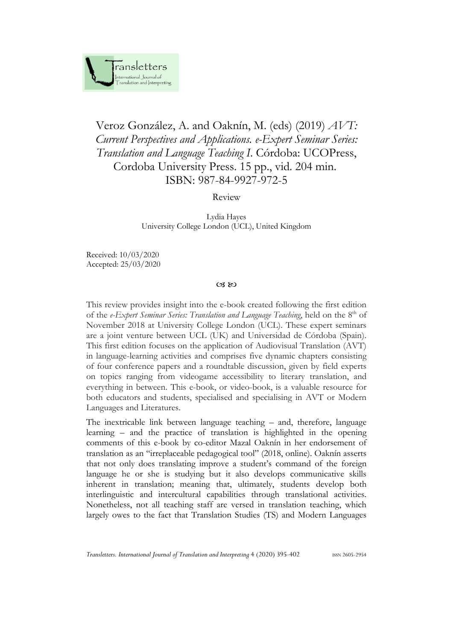

## Veroz González, A. and Oaknín, M. (eds) (2019) *AVT: Current Perspectives and Applications. e-Expert Seminar Series: Translation and Language Teaching I*. Córdoba: UCOPress, Cordoba University Press. 15 pp., vid. 204 min. ISBN: 987-84-9927-972-5

Review

Lydia Hayes University College London (UCL), United Kingdom

Received: 10/03/2020 Accepted: 25/03/2020

## $CZ$   $RQ$

This review provides insight into the e-book created following the first edition of the *e-Expert Seminar Series: Translation and Language Teaching*, held on the 8<sup>th</sup> of November 2018 at University College London (UCL). These expert seminars are a joint venture between UCL (UK) and Universidad de Córdoba (Spain). This first edition focuses on the application of Audiovisual Translation (AVT) in language-learning activities and comprises five dynamic chapters consisting of four conference papers and a roundtable discussion, given by field experts on topics ranging from videogame accessibility to literary translation, and everything in between. This e-book, or video-book, is a valuable resource for both educators and students, specialised and specialising in AVT or Modern Languages and Literatures.

The inextricable link between language teaching – and, therefore, language learning – and the practice of translation is highlighted in the opening comments of this e-book by co-editor Mazal Oaknín in her endorsement of translation as an "irreplaceable pedagogical tool" (2018, online). Oaknín asserts that not only does translating improve a student's command of the foreign language he or she is studying but it also develops communicative skills inherent in translation; meaning that, ultimately, students develop both interlinguistic and intercultural capabilities through translational activities. Nonetheless, not all teaching staff are versed in translation teaching, which largely owes to the fact that Translation Studies (TS) and Modern Languages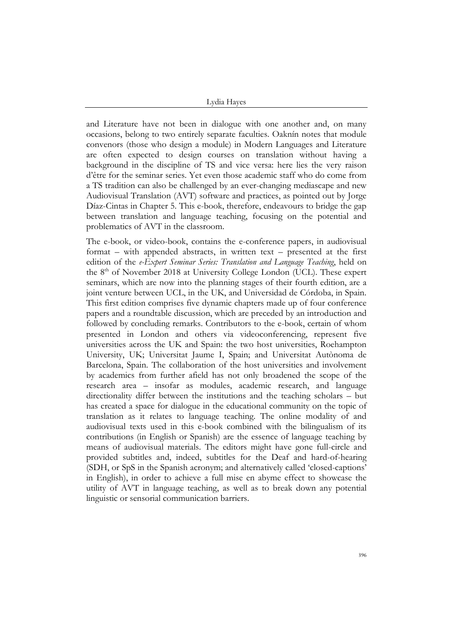Lydia Hayes

and Literature have not been in dialogue with one another and, on many occasions, belong to two entirely separate faculties. Oaknín notes that module convenors (those who design a module) in Modern Languages and Literature are often expected to design courses on translation without having a background in the discipline of TS and vice versa: here lies the very raison d'être for the seminar series. Yet even those academic staff who do come from a TS tradition can also be challenged by an ever-changing mediascape and new Audiovisual Translation (AVT) software and practices, as pointed out by Jorge Díaz-Cintas in Chapter 5. This e-book, therefore, endeavours to bridge the gap between translation and language teaching, focusing on the potential and problematics of AVT in the classroom.

The e-book, or video-book, contains the e-conference papers, in audiovisual format – with appended abstracts, in written text – presented at the first edition of the *e-Expert Seminar Series: Translation and Language Teaching*, held on the  $8<sup>th</sup>$  of November 2018 at University College London (UCL). These expert seminars, which are now into the planning stages of their fourth edition, are a joint venture between UCL, in the UK, and Universidad de Córdoba, in Spain. This first edition comprises five dynamic chapters made up of four conference papers and a roundtable discussion, which are preceded by an introduction and followed by concluding remarks. Contributors to the e-book, certain of whom presented in London and others via videoconferencing, represent five universities across the UK and Spain: the two host universities, Roehampton University, UK; Universitat Jaume I, Spain; and Universitat Autònoma de Barcelona, Spain. The collaboration of the host universities and involvement by academics from further afield has not only broadened the scope of the research area – insofar as modules, academic research, and language directionality differ between the institutions and the teaching scholars – but has created a space for dialogue in the educational community on the topic of translation as it relates to language teaching. The online modality of and audiovisual texts used in this e-book combined with the bilingualism of its contributions (in English or Spanish) are the essence of language teaching by means of audiovisual materials. The editors might have gone full-circle and provided subtitles and, indeed, subtitles for the Deaf and hard-of-hearing (SDH, or SpS in the Spanish acronym; and alternatively called 'closed-captions' in English), in order to achieve a full mise en abyme effect to showcase the utility of AVT in language teaching, as well as to break down any potential linguistic or sensorial communication barriers.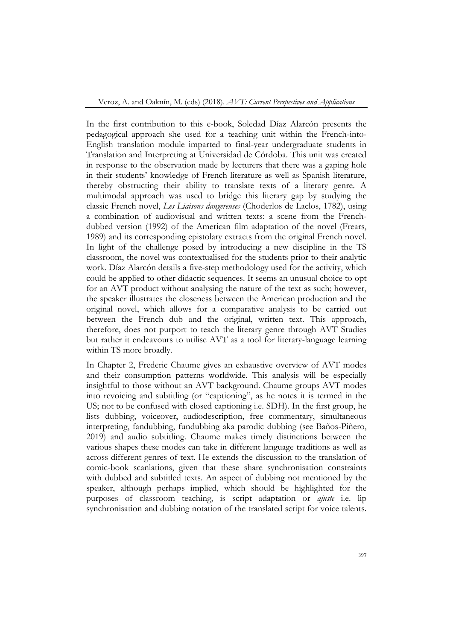In the first contribution to this e-book, Soledad Díaz Alarcón presents the pedagogical approach she used for a teaching unit within the French-into-English translation module imparted to final-year undergraduate students in Translation and Interpreting at Universidad de Córdoba. This unit was created in response to the observation made by lecturers that there was a gaping hole in their students' knowledge of French literature as well as Spanish literature, thereby obstructing their ability to translate texts of a literary genre. A multimodal approach was used to bridge this literary gap by studying the classic French novel, *Les Liaisons dangereuses* (Choderlos de Laclos, 1782), using a combination of audiovisual and written texts: a scene from the Frenchdubbed version (1992) of the American film adaptation of the novel (Frears, 1989) and its corresponding epistolary extracts from the original French novel. In light of the challenge posed by introducing a new discipline in the TS classroom, the novel was contextualised for the students prior to their analytic work. Díaz Alarcón details a five-step methodology used for the activity, which could be applied to other didactic sequences. It seems an unusual choice to opt for an AVT product without analysing the nature of the text as such; however, the speaker illustrates the closeness between the American production and the original novel, which allows for a comparative analysis to be carried out between the French dub and the original, written text. This approach, therefore, does not purport to teach the literary genre through AVT Studies but rather it endeavours to utilise AVT as a tool for literary-language learning within TS more broadly.

In Chapter 2, Frederic Chaume gives an exhaustive overview of AVT modes and their consumption patterns worldwide. This analysis will be especially insightful to those without an AVT background. Chaume groups AVT modes into revoicing and subtitling (or "captioning", as he notes it is termed in the US; not to be confused with closed captioning i.e. SDH). In the first group, he lists dubbing, voiceover, audiodescription, free commentary, simultaneous interpreting, fandubbing, fundubbing aka parodic dubbing (see Baños-Piñero, 2019) and audio subtitling. Chaume makes timely distinctions between the various shapes these modes can take in different language traditions as well as across different genres of text. He extends the discussion to the translation of comic-book scanlations, given that these share synchronisation constraints with dubbed and subtitled texts. An aspect of dubbing not mentioned by the speaker, although perhaps implied, which should be highlighted for the purposes of classroom teaching, is script adaptation or *ajuste* i.e. lip synchronisation and dubbing notation of the translated script for voice talents.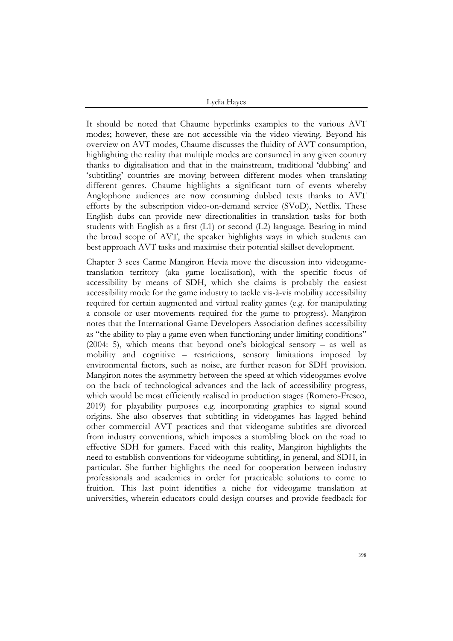Lydia Hayes

It should be noted that Chaume hyperlinks examples to the various AVT modes; however, these are not accessible via the video viewing. Beyond his overview on AVT modes, Chaume discusses the fluidity of AVT consumption, highlighting the reality that multiple modes are consumed in any given country thanks to digitalisation and that in the mainstream, traditional 'dubbing' and 'subtitling' countries are moving between different modes when translating different genres. Chaume highlights a significant turn of events whereby Anglophone audiences are now consuming dubbed texts thanks to AVT efforts by the subscription video-on-demand service (SVoD), Netflix. These English dubs can provide new directionalities in translation tasks for both students with English as a first (L1) or second (L2) language. Bearing in mind the broad scope of AVT, the speaker highlights ways in which students can best approach AVT tasks and maximise their potential skillset development.

Chapter 3 sees Carme Mangiron Hevia move the discussion into videogametranslation territory (aka game localisation), with the specific focus of accessibility by means of SDH, which she claims is probably the easiest accessibility mode for the game industry to tackle vis-à-vis mobility accessibility required for certain augmented and virtual reality games (e.g. for manipulating a console or user movements required for the game to progress). Mangiron notes that the International Game Developers Association defines accessibility as "the ability to play a game even when functioning under limiting conditions" (2004: 5), which means that beyond one's biological sensory – as well as mobility and cognitive – restrictions, sensory limitations imposed by environmental factors, such as noise, are further reason for SDH provision. Mangiron notes the asymmetry between the speed at which videogames evolve on the back of technological advances and the lack of accessibility progress, which would be most efficiently realised in production stages (Romero-Fresco, 2019) for playability purposes e.g. incorporating graphics to signal sound origins. She also observes that subtitling in videogames has lagged behind other commercial AVT practices and that videogame subtitles are divorced from industry conventions, which imposes a stumbling block on the road to effective SDH for gamers. Faced with this reality, Mangiron highlights the need to establish conventions for videogame subtitling, in general, and SDH, in particular. She further highlights the need for cooperation between industry professionals and academics in order for practicable solutions to come to fruition. This last point identifies a niche for videogame translation at universities, wherein educators could design courses and provide feedback for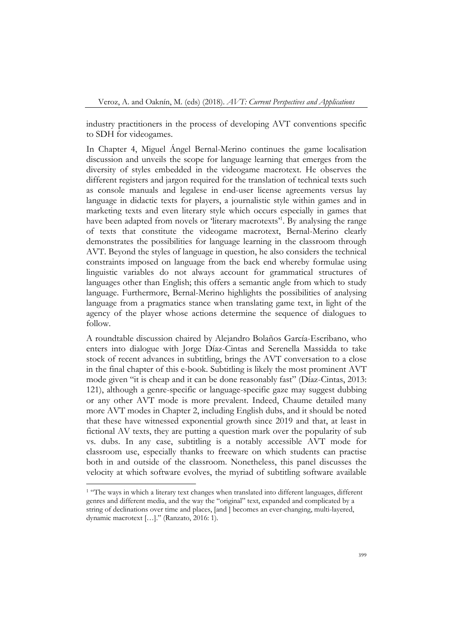industry practitioners in the process of developing AVT conventions specific to SDH for videogames.

In Chapter 4, Miguel Ángel Bernal-Merino continues the game localisation discussion and unveils the scope for language learning that emerges from the diversity of styles embedded in the videogame macrotext. He observes the different registers and jargon required for the translation of technical texts such as console manuals and legalese in end-user license agreements versus lay language in didactic texts for players, a journalistic style within games and in marketing texts and even literary style which occurs especially in games that have been adapted from novels or 'literary macrotexts'<sup>1</sup>. By analysing the range of texts that constitute the videogame macrotext, Bernal-Merino clearly demonstrates the possibilities for language learning in the classroom through AVT. Beyond the styles of language in question, he also considers the technical constraints imposed on language from the back end whereby formulae using linguistic variables do not always account for grammatical structures of languages other than English; this offers a semantic angle from which to study language. Furthermore, Bernal-Merino highlights the possibilities of analysing language from a pragmatics stance when translating game text, in light of the agency of the player whose actions determine the sequence of dialogues to follow.

A roundtable discussion chaired by Alejandro Bolaños García-Escribano, who enters into dialogue with Jorge Díaz-Cintas and Serenella Massidda to take stock of recent advances in subtitling, brings the AVT conversation to a close in the final chapter of this e-book. Subtitling is likely the most prominent AVT mode given "it is cheap and it can be done reasonably fast" (Díaz-Cintas, 2013: 121), although a genre-specific or language-specific gaze may suggest dubbing or any other AVT mode is more prevalent. Indeed, Chaume detailed many more AVT modes in Chapter 2, including English dubs, and it should be noted that these have witnessed exponential growth since 2019 and that, at least in fictional AV texts, they are putting a question mark over the popularity of sub vs. dubs. In any case, subtitling is a notably accessible AVT mode for classroom use, especially thanks to freeware on which students can practise both in and outside of the classroom. Nonetheless, this panel discusses the velocity at which software evolves, the myriad of subtitling software available

<sup>&</sup>lt;sup>1</sup> "The ways in which a literary text changes when translated into different languages, different genres and different media, and the way the "original" text, expanded and complicated by a string of declinations over time and places, [and ] becomes an ever-changing, multi-layered, dynamic macrotext […]." (Ranzato, 2016: 1).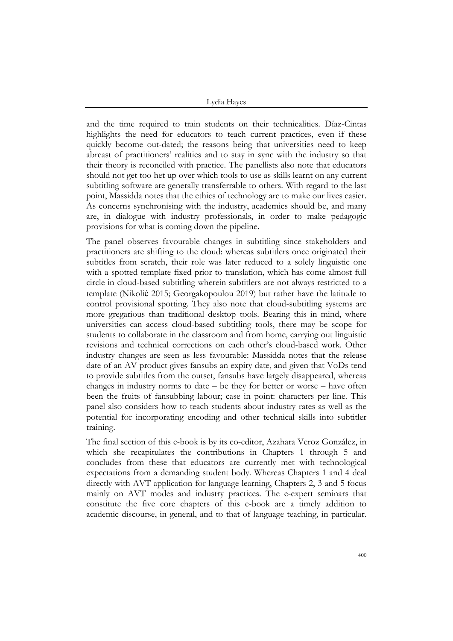Lydia Hayes

and the time required to train students on their technicalities. Díaz-Cintas highlights the need for educators to teach current practices, even if these quickly become out-dated; the reasons being that universities need to keep abreast of practitioners' realities and to stay in sync with the industry so that their theory is reconciled with practice. The panellists also note that educators should not get too het up over which tools to use as skills learnt on any current subtitling software are generally transferrable to others. With regard to the last point, Massidda notes that the ethics of technology are to make our lives easier. As concerns synchronising with the industry, academics should be, and many are, in dialogue with industry professionals, in order to make pedagogic provisions for what is coming down the pipeline.

The panel observes favourable changes in subtitling since stakeholders and practitioners are shifting to the cloud: whereas subtitlers once originated their subtitles from scratch, their role was later reduced to a solely linguistic one with a spotted template fixed prior to translation, which has come almost full circle in cloud-based subtitling wherein subtitlers are not always restricted to a template (Nikolić 2015; Georgakopoulou 2019) but rather have the latitude to control provisional spotting. They also note that cloud-subtitling systems are more gregarious than traditional desktop tools. Bearing this in mind, where universities can access cloud-based subtitling tools, there may be scope for students to collaborate in the classroom and from home, carrying out linguistic revisions and technical corrections on each other's cloud-based work. Other industry changes are seen as less favourable: Massidda notes that the release date of an AV product gives fansubs an expiry date, and given that VoDs tend to provide subtitles from the outset, fansubs have largely disappeared, whereas changes in industry norms to date – be they for better or worse – have often been the fruits of fansubbing labour; case in point: characters per line. This panel also considers how to teach students about industry rates as well as the potential for incorporating encoding and other technical skills into subtitler training.

The final section of this e-book is by its co-editor, Azahara Veroz González, in which she recapitulates the contributions in Chapters 1 through 5 and concludes from these that educators are currently met with technological expectations from a demanding student body. Whereas Chapters 1 and 4 deal directly with AVT application for language learning, Chapters 2, 3 and 5 focus mainly on AVT modes and industry practices. The e-expert seminars that constitute the five core chapters of this e-book are a timely addition to academic discourse, in general, and to that of language teaching, in particular.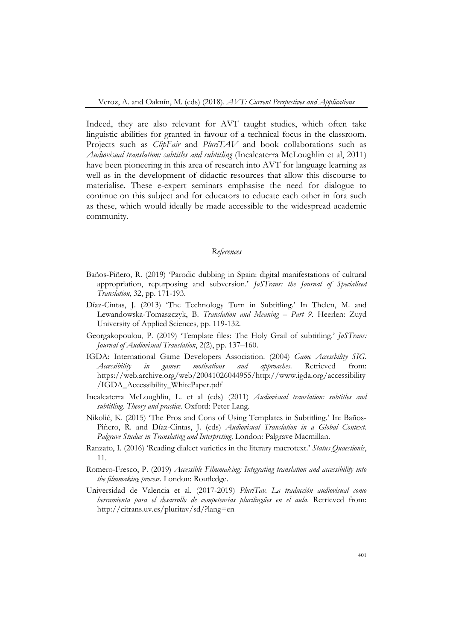Indeed, they are also relevant for AVT taught studies, which often take linguistic abilities for granted in favour of a technical focus in the classroom. Projects such as *ClipFair* and *PluriTAV* and book collaborations such as *Audiovisual translation: subtitles and subtitling* (Incalcaterra McLoughlin et al, 2011) have been pioneering in this area of research into AVT for language learning as well as in the development of didactic resources that allow this discourse to materialise. These e-expert seminars emphasise the need for dialogue to continue on this subject and for educators to educate each other in fora such as these, which would ideally be made accessible to the widespread academic community.

## *References*

- Baños-Piñero, R. (2019) 'Parodic dubbing in Spain: digital manifestations of cultural appropriation, repurposing and subversion.' *JoSTrans: the Journal of Specialised Translation*, 32, pp. 171-193.
- Díaz-Cintas, J. (2013) 'The Technology Turn in Subtitling.' In Thelen, M. and Lewandowska-Tomaszczyk, B. *Translation and Meaning – Part 9*. Heerlen: Zuyd University of Applied Sciences, pp. 119-132.
- Georgakopoulou, P. (2019) 'Template files: The Holy Grail of subtitling.' *JoSTrans: Journal of Audiovisual Translation*, 2(2), pp. 137–160.
- IGDA: International Game Developers Association. (2004) *Game Accessbility SIG. Accessibility in games: motivations and approaches*. Retrieved from: https://web.archive.org/web/20041026044955/http://www.igda.org/accessibility /IGDA\_Accessibility\_WhitePaper.pdf
- Incalcaterra McLoughlin, L. et al (eds) (2011) *Audiovisual translation: subtitles and subtitling. Theory and practice*. Oxford: Peter Lang.
- Nikolić, K. (2015) 'The Pros and Cons of Using Templates in Subtitling.' In: Baños-Piñero, R. and Díaz-Cintas, J. (eds) *Audiovisual Translation in a Global Context. Palgrave Studies in Translating and Interpreting*. London: Palgrave Macmillan.
- Ranzato, I. (2016) 'Reading dialect varieties in the literary macrotext.' *Status Quaestionis*, 11.
- Romero-Fresco, P. (2019) *Accessible Filmmaking: Integrating translation and accessibility into the filmmaking process*. London: Routledge.
- Universidad de Valencia et al. (2017-2019) *PluriTav. La traducción audiovisual como herramienta para el desarrollo de competencias plurilingües en el aula*. Retrieved from: http://citrans.uv.es/pluritav/sd/?lang=en